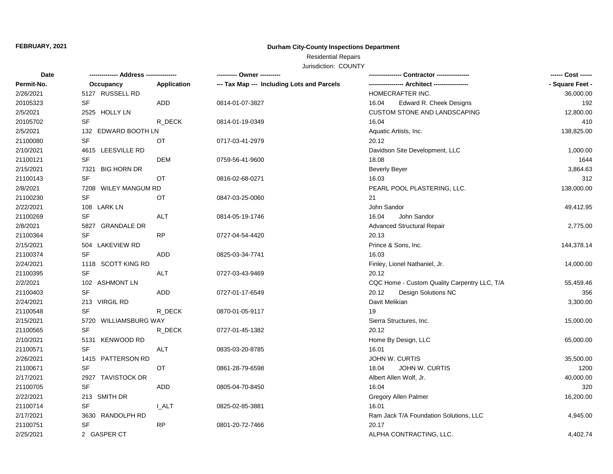#### **FEBRUARY, 2021**

## **Durham City-County Inspections Department**

# Residential Repairs

Jurisdiction: COUNTY

| Date       |                       |              | ---------- Owner ----------                |                                              | ------ Cost ------ |
|------------|-----------------------|--------------|--------------------------------------------|----------------------------------------------|--------------------|
| Permit-No. | Occupancy             | Application  | --- Tax Map --- Including Lots and Parcels |                                              | - Square Feet -    |
| 2/26/2021  | 5127 RUSSELL RD       |              |                                            | HOMECRAFTER INC.                             | 36,000.00          |
| 20105323   | SF                    | <b>ADD</b>   | 0814-01-07-3827                            | Edward R. Cheek Designs<br>16.04             | 192                |
| 2/5/2021   | 2525 HOLLY LN         |              |                                            | CUSTOM STONE AND LANDSCAPING                 | 12,800.00          |
| 20105702   | <b>SF</b>             | R_DECK       | 0814-01-19-0349                            | 16.04                                        | 410                |
| 2/5/2021   | 132 EDWARD BOOTH LN   |              |                                            | Aquatic Artists, Inc.                        | 138,825.00         |
| 21100080   | <b>SF</b>             | OT.          | 0717-03-41-2979                            | 20.12                                        |                    |
| 2/10/2021  | 4615 LEESVILLE RD     |              |                                            | Davidson Site Development, LLC               | 1,000.00           |
| 21100121   | SF                    | <b>DEM</b>   | 0759-56-41-9600                            | 18.08                                        | 1644               |
| 2/15/2021  | 7321 BIG HORN DR      |              |                                            | <b>Beverly Beyer</b>                         | 3,864.63           |
| 21100143   | SF                    | OT           | 0816-02-68-0271                            | 16.03                                        | 312                |
| 2/8/2021   | 7208 WILEY MANGUM RD  |              |                                            | PEARL POOL PLASTERING, LLC.                  | 138,000.00         |
| 21100230   | SF                    | OT           | 0847-03-25-0060                            | 21                                           |                    |
| 2/22/2021  | 108 LARK LN           |              |                                            | John Sandor                                  | 49,412.95          |
| 21100269   | <b>SF</b>             | <b>ALT</b>   | 0814-05-19-1746                            | 16.04<br>John Sandor                         |                    |
| 2/8/2021   | 5827 GRANDALE DR      |              |                                            | <b>Advanced Structural Repair</b>            | 2,775.00           |
| 21100364   | <b>SF</b>             | <b>RP</b>    | 0727-04-54-4420                            | 20.13                                        |                    |
| 2/15/2021  | 504 LAKEVIEW RD       |              |                                            | Prince & Sons, Inc.                          | 144,378.14         |
| 21100374   | <b>SF</b>             | <b>ADD</b>   | 0825-03-34-7741                            | 16.03                                        |                    |
| 2/24/2021  | 1118 SCOTT KING RD    |              |                                            | Finley, Lionel Nathaniel, Jr.                | 14,000.00          |
| 21100395   | <b>SF</b>             | ALT          | 0727-03-43-9469                            | 20.12                                        |                    |
| 2/2/2021   | 102 ASHMONT LN        |              |                                            | CQC Home - Custom Quality Carpentry LLC, T/A | 55,459.46          |
| 21100403   | <b>SF</b>             | ADD          | 0727-01-17-6549                            | <b>Design Solutions NC</b><br>20.12          | 356                |
| 2/24/2021  | 213 VIRGIL RD         |              |                                            | Davit Melikian                               | 3,300.00           |
| 21100548   | <b>SF</b>             | R_DECK       | 0870-01-05-9117                            | 19                                           |                    |
| 2/15/2021  | 5720 WILLIAMSBURG WAY |              |                                            | Sierra Structures, Inc.                      | 15,000.00          |
| 21100565   | <b>SF</b>             | R_DECK       | 0727-01-45-1382                            | 20.12                                        |                    |
| 2/10/2021  | 5131 KENWOOD RD       |              |                                            | Home By Design, LLC                          | 65,000.00          |
| 21100571   | <b>SF</b>             | ALT          | 0835-03-20-8785                            | 16.01                                        |                    |
| 2/26/2021  | 1415 PATTERSON RD     |              |                                            | JOHN W. CURTIS                               | 35,500.00          |
| 21100671   | <b>SF</b>             | <b>OT</b>    | 0861-28-79-6598                            | JOHN W. CURTIS<br>18.04                      | 1200               |
| 2/17/2021  | 2927 TAVISTOCK DR     |              |                                            | Albert Allen Wolf, Jr.                       | 40,000.00          |
| 21100705   | <b>SF</b>             | <b>ADD</b>   | 0805-04-70-8450                            | 16.04                                        | 320                |
| 2/22/2021  | 213 SMITH DR          |              |                                            | Gregory Allen Palmer                         | 16,200.00          |
| 21100714   | <b>SF</b>             | <b>L_ALT</b> | 0825-02-85-3881                            | 16.01                                        |                    |
| 2/17/2021  | 3630 RANDOLPH RD      |              |                                            | Ram Jack T/A Foundation Solutions, LLC       | 4,945.00           |
| 21100751   | SF                    | <b>RP</b>    | 0801-20-72-7466                            | 20.17                                        |                    |
| 2/25/2021  | 2 GASPER CT           |              |                                            | ALPHA CONTRACTING, LLC.                      | 4,402.74           |